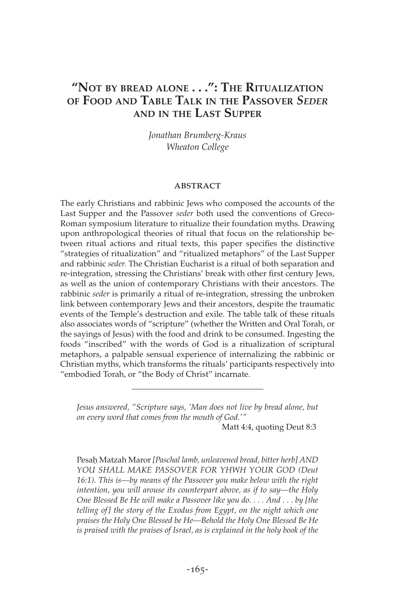# **"NOT BY BREAD ALONE . . .": THE RITUALIZATION OF FOOD AND TABLE TALK IN THE PASSOVER** *SEDER* **AND IN THE LAST SUPPER**

*Jonathan Brumberg-Kraus Wheaton College*

#### **ABSTRACT**

The early Christians and rabbinic Jews who composed the accounts of the Last Supper and the Passover *seder* both used the conventions of Greco-Roman symposium literature to ritualize their foundation myths. Drawing upon anthropological theories of ritual that focus on the relationship between ritual actions and ritual texts, this paper specifies the distinctive "strategies of ritualization" and "ritualized metaphors" of the Last Supper and rabbinic *seder.* The Christian Eucharist is a ritual of both separation and re-integration, stressing the Christians' break with other first century Jews, as well as the union of contemporary Christians with their ancestors. The rabbinic *seder* is primarily a ritual of re-integration, stressing the unbroken link between contemporary Jews and their ancestors, despite the traumatic events of the Temple's destruction and exile. The table talk of these rituals also associates words of "scripture" (whether the Written and Oral Torah, or the sayings of Jesus) with the food and drink to be consumed. Ingesting the foods "inscribed" with the words of God is a ritualization of scriptural metaphors, a palpable sensual experience of internalizing the rabbinic or Christian myths, which transforms the rituals' participants respectively into "embodied Torah, or "the Body of Christ" incarnate.

*Jesus answered, "Scripture says, 'Man does not live by bread alone, but on every word that comes from the mouth of God.'"*

Matt 4:4, quoting Deut 8:3

Pesah\Matzah Maror *[Paschal lamb, unleavened bread, bitter herb] AND YOU SHALL MAKE PASSOVER FOR YHWH YOUR GOD (Deut 16:1). This is—by means of the Passover you make below with the right intention, you will arouse its counterpart above, as if to say—the Holy One Blessed Be He will make a Passover like you do. . . . And . . . by [the telling of] the story of the Exodus from Egypt, on the night which one praises the Holy One Blessed be He—Behold the Holy One Blessed Be He is praised with the praises of Israel, as is explained in the holy book of the*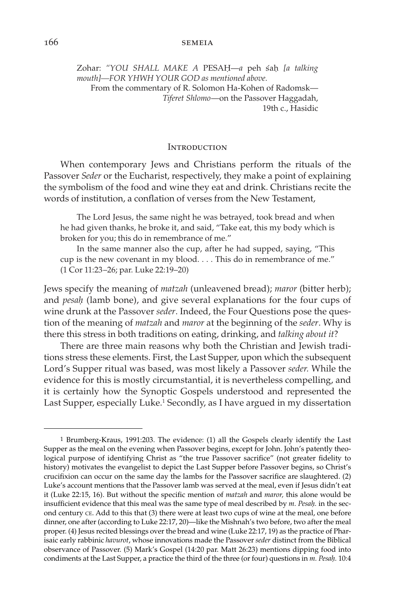Zohar: *"YOU SHALL MAKE A* PESAH\—*a* peh s´ah\ *[a talking mouth]—FOR YHWH YOUR GOD as mentioned above.* From the commentary of R. Solomon Ha-Kohen of Radomsk— *Tiferet Shlomo*—on the Passover Haggadah, 19th c., Hasidic

#### **INTRODUCTION**

When contemporary Jews and Christians perform the rituals of the Passover *Seder* or the Eucharist, respectively, they make a point of explaining the symbolism of the food and wine they eat and drink. Christians recite the words of institution, a conflation of verses from the New Testament,

The Lord Jesus, the same night he was betrayed, took bread and when he had given thanks, he broke it, and said, "Take eat, this my body which is broken for you; this do in remembrance of me."

In the same manner also the cup, after he had supped, saying, "This cup is the new covenant in my blood. . . . This do in remembrance of me." (1 Cor 11:23–26; par. Luke 22:19–20)

Jews specify the meaning of *matzah* (unleavened bread); *maror* (bitter herb); and *pesah* (lamb bone), and give several explanations for the four cups of wine drunk at the Passover *seder*. Indeed, the Four Questions pose the question of the meaning of *matzah* and *maror* at the beginning of the *seder*. Why is there this stress in both traditions on eating, drinking, and *talking about it*?

There are three main reasons why both the Christian and Jewish traditions stress these elements. First, the Last Supper, upon which the subsequent Lord's Supper ritual was based, was most likely a Passover *seder.* While the evidence for this is mostly circumstantial, it is nevertheless compelling, and it is certainly how the Synoptic Gospels understood and represented the Last Supper, especially Luke.<sup>1</sup> Secondly, as I have argued in my dissertation

<sup>1</sup> Brumberg-Kraus, 1991:203. The evidence: (1) all the Gospels clearly identify the Last Supper as the meal on the evening when Passover begins, except for John. John's patently theological purpose of identifying Christ as "the true Passover sacrifice" (not greater fidelity to history) motivates the evangelist to depict the Last Supper before Passover begins, so Christ's crucifixion can occur on the same day the lambs for the Passover sacrifice are slaughtered. (2) Luke's account mentions that the Passover lamb was served at the meal, even if Jesus didn't eat it (Luke 22:15, 16). But without the specific mention of *matzah* and *maror,* this alone would be insufficient evidence that this meal was the same type of meal described by *m. Pesah*. in the second century CE. Add to this that (3) there were at least two cups of wine at the meal, one before dinner, one after (according to Luke 22:17, 20)—like the Mishnah's two before, two after the meal proper. (4) Jesus recited blessings over the bread and wine (Luke 22:17, 19) as the practice of Pharisaic early rabbinic *havurot*, whose innovations made the Passover *seder* distinct from the Biblical observance of Passover. (5) Mark's Gospel (14:20 par. Matt 26:23) mentions dipping food into condiments at the Last Supper, a practice the third of the three (or four) questions in *m. Pesah*\*.* 10:4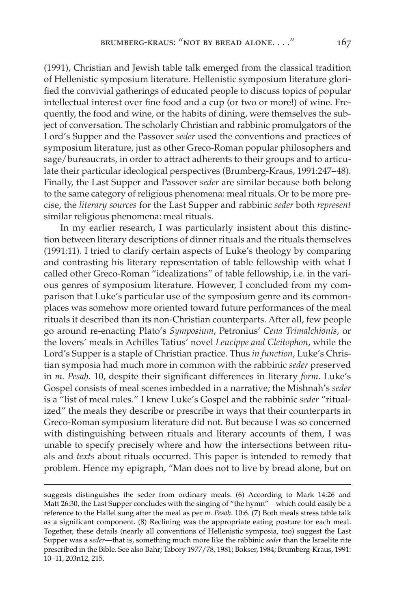(1991), Christian and Jewish table talk emerged from the classical tradition of Hellenistic symposium literature. Hellenistic symposium literature glorified the convivial gatherings of educated people to discuss topics of popular intellectual interest over fine food and a cup (or two or more!) of wine. Frequently, the food and wine, or the habits of dining, were themselves the subject of conversation. The scholarly Christian and rabbinic promulgators of the Lord's Supper and the Passover *seder* used the conventions and practices of symposium literature, just as other Greco-Roman popular philosophers and sage/bureaucrats, in order to attract adherents to their groups and to articulate their particular ideological perspectives (Brumberg-Kraus, 1991:247–48). Finally, the Last Supper and Passover *seder* are similar because both belong to the same category of religious phenomena: meal rituals. Or to be more precise, the *literary sources* for the Last Supper and rabbinic *seder* both *represent* similar religious phenomena: meal rituals.

In my earlier research, I was particularly insistent about this distinction between literary descriptions of dinner rituals and the rituals themselves (1991:11). I tried to clarify certain aspects of Luke's theology by comparing and contrasting his literary representation of table fellowship with what I called other Greco-Roman "idealizations" of table fellowship, i.e. in the various genres of symposium literature. However, I concluded from my comparison that Luke's particular use of the symposium genre and its commonplaces was somehow more oriented toward future performances of the meal rituals it described than its non-Christian counterparts. After all, few people go around re-enacting Plato's *Symposium*, Petronius' *Cena Trimalchionis*, or the lovers' meals in Achilles Tatius' novel *Leucippe and Cleitophon*, while the Lord's Supper is a staple of Christian practice. Thus *in function*, Luke's Christian symposia had much more in common with the rabbinic *seder* preserved in *m. Pesah*\*.* 10, despite their significant differences in literary *form*. Luke's Gospel consists of meal scenes imbedded in a narrative; the Mishnah's *seder* is a "list of meal rules." I knew Luke's Gospel and the rabbinic *seder* "ritualized" the meals they describe or prescribe in ways that their counterparts in Greco-Roman symposium literature did not. But because I was so concerned with distinguishing between rituals and literary accounts of them, I was unable to specify precisely where and how the intersections between rituals and *texts* about rituals occurred. This paper is intended to remedy that problem. Hence my epigraph, "Man does not to live by bread alone, but on

suggests distinguishes the seder from ordinary meals. (6) According to Mark 14:26 and Matt 26:30, the Last Supper concludes with the singing of "the hymn"—which could easily be a reference to the Hallel sung after the meal as per *m. Pesah*. 10:6. (7) Both meals stress table talk as a significant component. (8) Reclining was the appropriate eating posture for each meal. Together, these details (nearly all conventions of Hellenistic symposia, too) suggest the Last Supper was a *seder*—that is, something much more like the rabbinic *seder* than the Israelite rite prescribed in the Bible. See also Bahr; Tabory 1977/78, 1981; Bokser, 1984; Brumberg-Kraus, 1991: 10–11, 203n12, 215.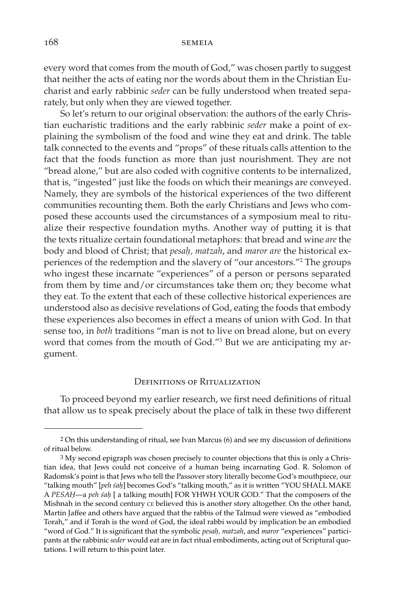every word that comes from the mouth of God," was chosen partly to suggest that neither the acts of eating nor the words about them in the Christian Eucharist and early rabbinic *seder* can be fully understood when treated separately, but only when they are viewed together.

So let's return to our original observation: the authors of the early Christian eucharistic traditions and the early rabbinic *seder* make a point of explaining the symbolism of the food and wine they eat and drink. The table talk connected to the events and "props" of these rituals calls attention to the fact that the foods function as more than just nourishment. They are not "bread alone," but are also coded with cognitive contents to be internalized, that is, "ingested" just like the foods on which their meanings are conveyed. Namely, they are symbols of the historical experiences of the two different communities recounting them. Both the early Christians and Jews who composed these accounts used the circumstances of a symposium meal to ritualize their respective foundation myths. Another way of putting it is that the texts ritualize certain foundational metaphors: that bread and wine *are* the body and blood of Christ; that *pesah*\*, matzah*, and *maror are* the historical experiences of the redemption and the slavery of "our ancestors."2 The groups who ingest these incarnate "experiences" of a person or persons separated from them by time and/or circumstances take them on; they become what they eat. To the extent that each of these collective historical experiences are understood also as decisive revelations of God, eating the foods that embody these experiences also becomes in effect a means of union with God. In that sense too, in *both* traditions "man is not to live on bread alone, but on every word that comes from the mouth of God."3 But we are anticipating my argument.

#### Definitions of Ritualization

To proceed beyond my earlier research, we first need definitions of ritual that allow us to speak precisely about the place of talk in these two different

<sup>2</sup> On this understanding of ritual, see Ivan Marcus (6) and see my discussion of definitions of ritual below.

<sup>3</sup> My second epigraph was chosen precisely to counter objections that this is only a Christian idea, that Jews could not conceive of a human being incarnating God. R. Solomon of Radomsk's point is that Jews who tell the Passover story literally become God's mouthpiece, our "talking mouth" [peh sah] becomes God's "talking mouth," as it is written "YOU SHALL MAKE A *PESAH*\—a *peh s´ah*\ [ a talking mouth] FOR YHWH YOUR GOD." That the composers of the Mishnah in the second century CE believed this is another story altogether. On the other hand, Martin Jaffee and others have argued that the rabbis of the Talmud were viewed as "embodied Torah," and if Torah is the word of God, the ideal rabbi would by implication be an embodied "word of God." It is significant that the symbolic *pesah*\*, matzah*, and *maror* "experiences" participants at the rabbinic *seder* would eat are in fact ritual embodiments, acting out of Scriptural quotations. I will return to this point later.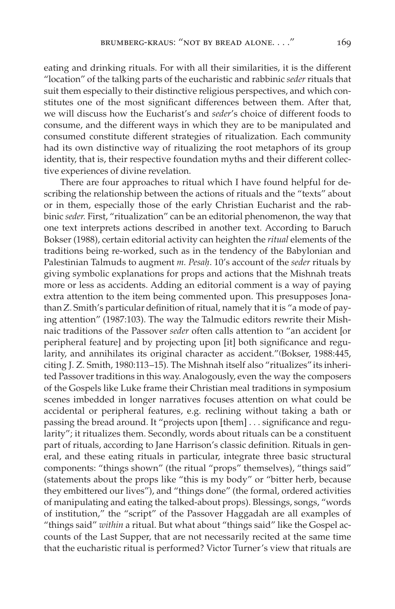eating and drinking rituals. For with all their similarities, it is the different "location" of the talking parts of the eucharistic and rabbinic *seder* rituals that suit them especially to their distinctive religious perspectives, and which constitutes one of the most significant differences between them. After that, we will discuss how the Eucharist's and *seder*'s choice of different foods to consume, and the different ways in which they are to be manipulated and consumed constitute different strategies of ritualization. Each community had its own distinctive way of ritualizing the root metaphors of its group identity, that is, their respective foundation myths and their different collective experiences of divine revelation.

There are four approaches to ritual which I have found helpful for describing the relationship between the actions of rituals and the "texts" about or in them, especially those of the early Christian Eucharist and the rabbinic *seder.* First, "ritualization" can be an editorial phenomenon, the way that one text interprets actions described in another text. According to Baruch Bokser (1988), certain editorial activity can heighten the *ritual* elements of the traditions being re-worked, such as in the tendency of the Babylonian and Palestinian Talmuds to augment *m. Pesah*\. 10's account of the *seder* rituals by giving symbolic explanations for props and actions that the Mishnah treats more or less as accidents. Adding an editorial comment is a way of paying extra attention to the item being commented upon. This presupposes Jonathan Z. Smith's particular definition of ritual, namely that it is "a mode of paying attention" (1987:103). The way the Talmudic editors rewrite their Mishnaic traditions of the Passover *seder* often calls attention to "an accident [or peripheral feature] and by projecting upon [it] both significance and regularity, and annihilates its original character as accident."(Bokser, 1988:445, citing J. Z. Smith, 1980:113–15). The Mishnah itself also "ritualizes" its inherited Passover traditions in this way. Analogously, even the way the composers of the Gospels like Luke frame their Christian meal traditions in symposium scenes imbedded in longer narratives focuses attention on what could be accidental or peripheral features, e.g. reclining without taking a bath or passing the bread around. It "projects upon [them] . . . significance and regularity"; it ritualizes them. Secondly, words about rituals can be a constituent part of rituals, according to Jane Harrison's classic definition. Rituals in general, and these eating rituals in particular, integrate three basic structural components: "things shown" (the ritual "props" themselves), "things said" (statements about the props like "this is my body" or "bitter herb, because they embittered our lives"), and "things done" (the formal, ordered activities of manipulating and eating the talked-about props). Blessings, songs, "words of institution," the "script" of the Passover Haggadah are all examples of "things said" *within* a ritual. But what about "things said" like the Gospel accounts of the Last Supper, that are not necessarily recited at the same time that the eucharistic ritual is performed? Victor Turner's view that rituals are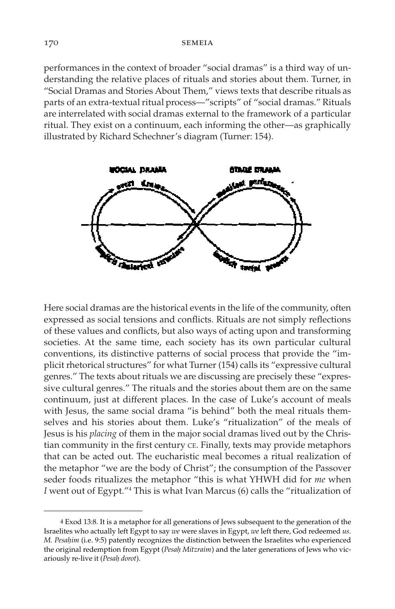performances in the context of broader "social dramas" is a third way of understanding the relative places of rituals and stories about them. Turner, in "Social Dramas and Stories About Them," views texts that describe rituals as parts of an extra-textual ritual process—"scripts" of "social dramas." Rituals are interrelated with social dramas external to the framework of a particular ritual. They exist on a continuum, each informing the other—as graphically illustrated by Richard Schechner's diagram (Turner: 154).



Here social dramas are the historical events in the life of the community, often expressed as social tensions and conflicts. Rituals are not simply reflections of these values and conflicts, but also ways of acting upon and transforming societies. At the same time, each society has its own particular cultural conventions, its distinctive patterns of social process that provide the "implicit rhetorical structures" for what Turner (154) calls its "expressive cultural genres." The texts about rituals we are discussing are precisely these "expressive cultural genres." The rituals and the stories about them are on the same continuum, just at different places. In the case of Luke's account of meals with Jesus, the same social drama "is behind" both the meal rituals themselves and his stories about them. Luke's "ritualization" of the meals of Jesus is his *placing* of them in the major social dramas lived out by the Christian community in the first century CE. Finally, texts may provide metaphors that can be acted out. The eucharistic meal becomes a ritual realization of the metaphor "we are the body of Christ"; the consumption of the Passover seder foods ritualizes the metaphor "this is what YHWH did for *me* when *I* went out of Egypt."4 This is what Ivan Marcus (6) calls the "ritualization of

<sup>4</sup> Exod 13:8. It is a metaphor for all generations of Jews subsequent to the generation of the Israelites who actually left Egypt to say *we* were slaves in Egypt, *we* left there, God redeemed *us*. *M. Pesahim* (i.e. 9:5) patently recognizes the distinction between the Israelites who experienced the original redemption from Egypt (*Pesah*\ *Mitzraim*) and the later generations of Jews who vicariously re-live it (*Pesah*\ *dorot*).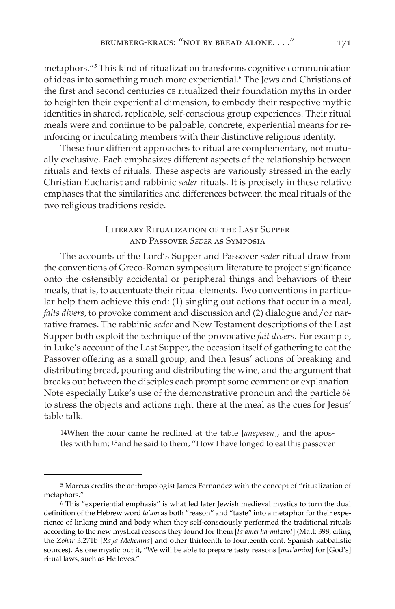metaphors."5 This kind of ritualization transforms cognitive communication of ideas into something much more experiential.6 The Jews and Christians of the first and second centuries CE ritualized their foundation myths in order to heighten their experiential dimension, to embody their respective mythic identities in shared, replicable, self-conscious group experiences. Their ritual meals were and continue to be palpable, concrete, experiential means for reinforcing or inculcating members with their distinctive religious identity.

These four different approaches to ritual are complementary, not mutually exclusive. Each emphasizes different aspects of the relationship between rituals and texts of rituals. These aspects are variously stressed in the early Christian Eucharist and rabbinic *seder* rituals. It is precisely in these relative emphases that the similarities and differences between the meal rituals of the two religious traditions reside.

# Literary Ritualization of the Last Supper and Passover *SEDER* as Symposia

The accounts of the Lord's Supper and Passover *seder* ritual draw from the conventions of Greco-Roman symposium literature to project significance onto the ostensibly accidental or peripheral things and behaviors of their meals, that is, to accentuate their ritual elements. Two conventions in particular help them achieve this end: (1) singling out actions that occur in a meal, *faits divers*, to provoke comment and discussion and (2) dialogue and/or narrative frames. The rabbinic *seder* and New Testament descriptions of the Last Supper both exploit the technique of the provocative *fait divers*. For example, in Luke's account of the Last Supper, the occasion itself of gathering to eat the Passover offering as a small group, and then Jesus' actions of breaking and distributing bread, pouring and distributing the wine, and the argument that breaks out between the disciples each prompt some comment or explanation. Note especially Luke's use of the demonstrative pronoun and the particle  $\delta \dot{\epsilon}$ to stress the objects and actions right there at the meal as the cues for Jesus' table talk.

14When the hour came he reclined at the table [*anepesen*], and the apostles with him; 15and he said to them, "How I have longed to eat this passover

<sup>5</sup> Marcus credits the anthropologist James Fernandez with the concept of "ritualization of metaphors."

<sup>6</sup> This "experiential emphasis" is what led later Jewish medieval mystics to turn the dual definition of the Hebrew word *ta'am* as both "reason" and "taste" into a metaphor for their experience of linking mind and body when they self-consciously performed the traditional rituals according to the new mystical reasons they found for them [*ta'amei ha-mitzvot*] (Matt: 398, citing the *Zohar* 3:271b [*Raya Mehemna*] and other thirteenth to fourteenth cent. Spanish kabbalistic sources). As one mystic put it, "We will be able to prepare tasty reasons [*mat'amim*] for [God's] ritual laws, such as He loves."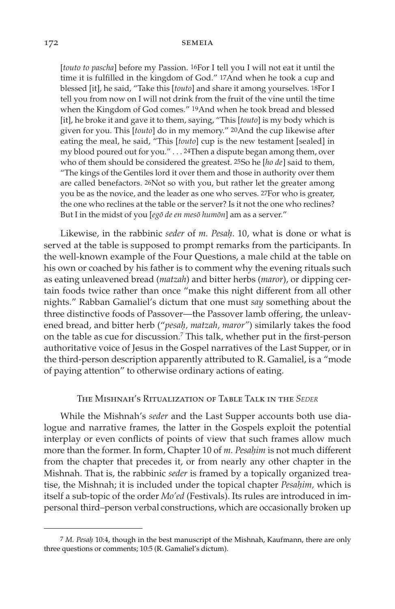[*touto to pascha*] before my Passion. 16For I tell you I will not eat it until the time it is fulfilled in the kingdom of God." 17And when he took a cup and blessed [it], he said, "Take this [*touto*] and share it among yourselves. 18For I tell you from now on I will not drink from the fruit of the vine until the time when the Kingdom of God comes." 19And when he took bread and blessed [it], he broke it and gave it to them, saying, "This [*touto*] is my body which is given for you. This [*touto*] do in my memory." 20And the cup likewise after eating the meal, he said, "This [*touto*] cup is the new testament [sealed] in my blood poured out for you." . . . 24Then a dispute began among them, over who of them should be considered the greatest. 25So he [*ho de*] said to them, "The kings of the Gentiles lord it over them and those in authority over them are called benefactors. 26Not so with you, but rather let the greater among you be as the novice, and the leader as one who serves. 27For who is greater, the one who reclines at the table or the server? Is it not the one who reclines? But I in the midst of you [egō de en mesō humōn] am as a server."

Likewise, in the rabbinic *seder* of *m. Pesah*\. 10, what is done or what is served at the table is supposed to prompt remarks from the participants. In the well-known example of the Four Questions, a male child at the table on his own or coached by his father is to comment why the evening rituals such as eating unleavened bread (*matzah*) and bitter herbs (*maror*), or dipping certain foods twice rather than once "make this night different from all other nights." Rabban Gamaliel's dictum that one must *say* something about the three distinctive foods of Passover—the Passover lamb offering, the unleavened bread, and bitter herb ("*pesah*\*, matzah, maror"*) similarly takes the food on the table as cue for discussion.7 This talk, whether put in the first-person authoritative voice of Jesus in the Gospel narratives of the Last Supper, or in the third-person description apparently attributed to R. Gamaliel, is a "mode of paying attention" to otherwise ordinary actions of eating.

# The Mishnah's Ritualization of Table Talk in the *SEDER*

While the Mishnah's *seder* and the Last Supper accounts both use dialogue and narrative frames, the latter in the Gospels exploit the potential interplay or even conflicts of points of view that such frames allow much more than the former. In form, Chapter 10 of *m*. Pesahim is not much different from the chapter that precedes it, or from nearly any other chapter in the Mishnah. That is, the rabbinic *seder* is framed by a topically organized treatise, the Mishnah; it is included under the topical chapter *Pesah*\*im,* which is itself a sub-topic of the order *Mo'ed* (Festivals). Its rules are introduced in impersonal third–person verbal constructions, which are occasionally broken up

<sup>7</sup> *M. Pesah*\ 10:4, though in the best manuscript of the Mishnah, Kaufmann, there are only three questions or comments; 10:5 (R. Gamaliel's dictum).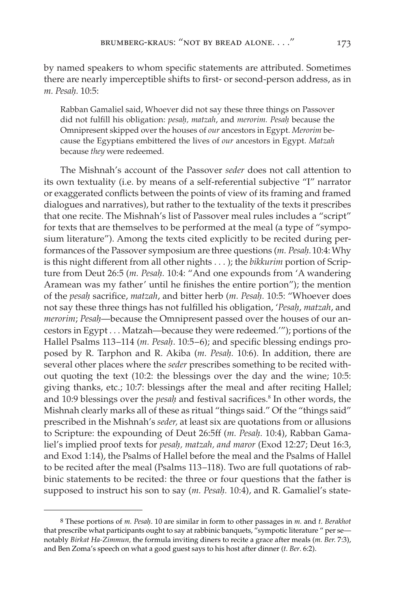by named speakers to whom specific statements are attributed. Sometimes there are nearly imperceptible shifts to first- or second-person address, as in *m. Pesah*\*.* 10:5:

Rabban Gamaliel said, Whoever did not say these three things on Passover did not fulfill his obligation: *pesah*\*, matzah*, and *merorim. Pesah*\ because the Omnipresent skipped over the houses of *our* ancestors in Egypt. *Merorim* because the Egyptians embittered the lives of *our* ancestors in Egypt. *Matzah* because *they* were redeemed.

The Mishnah's account of the Passover *seder* does not call attention to its own textuality (i.e. by means of a self-referential subjective "I" narrator or exaggerated conflicts between the points of view of its framing and framed dialogues and narratives), but rather to the textuality of the texts it prescribes that one recite. The Mishnah's list of Passover meal rules includes a "script" for texts that are themselves to be performed at the meal (a type of "symposium literature"). Among the texts cited explicitly to be recited during performances of the Passover symposium are three questions (*m. Pesah*\*.*10:4: Why is this night different from all other nights . . . ); the *bikkurim* portion of Scripture from Deut 26:5 (*m. Pesah*\*.* 10:4: "And one expounds from 'A wandering Aramean was my father' until he finishes the entire portion"); the mention of the *pesah*\ sacrifice, *matzah*, and bitter herb (*m. Pesah*\*.* 10:5: "Whoever does not say these three things has not fulfilled his obligation, '*Pesah*\, *matzah*, and *merorim; Pesah*—because the Omnipresent passed over the houses of our ancestors in Egypt . . . Matzah—because they were redeemed.'"); portions of the Hallel Psalms 113–114 (*m. Pesah.* 10:5–6); and specific blessing endings proposed by R. Tarphon and R. Akiba (*m. Pesah*\*.* 10:6). In addition, there are several other places where the *seder* prescribes something to be recited without quoting the text (10:2: the blessings over the day and the wine; 10:5: giving thanks, etc.; 10:7: blessings after the meal and after reciting Hallel; and 10:9 blessings over the *pesah* and festival sacrifices.<sup>8</sup> In other words, the Mishnah clearly marks all of these as ritual "things said." Of the "things said" prescribed in the Mishnah's *seder,* at least six are quotations from or allusions to Scripture: the expounding of Deut 26:5ff (*m. Pesah*\*.* 10:4), Rabban Gamaliel's implied proof texts for *pesah*\*, matzah, and maror* (Exod 12:27; Deut 16:3, and Exod 1:14), the Psalms of Hallel before the meal and the Psalms of Hallel to be recited after the meal (Psalms 113–118). Two are full quotations of rabbinic statements to be recited: the three or four questions that the father is supposed to instruct his son to say (*m. Pesah.* 10:4), and R. Gamaliel's state-

<sup>8</sup> These portions of *m. Pesah*\. 10 are similar in form to other passages in *m.* and *t. Berakhot* that prescribe what participants ought to say at rabbinic banquets, "sympotic literature " per senotably *Birkat Ha-Zimmun,* the formula inviting diners to recite a grace after meals (*m. Ber.* 7:3), and Ben Zoma's speech on what a good guest says to his host after dinner (*t. Ber*. 6:2).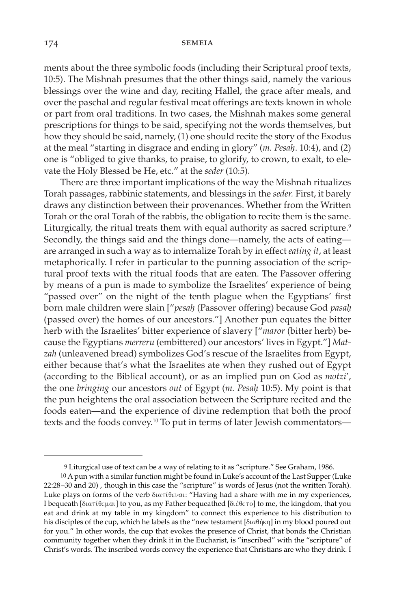ments about the three symbolic foods (including their Scriptural proof texts, 10:5). The Mishnah presumes that the other things said, namely the various blessings over the wine and day, reciting Hallel, the grace after meals, and over the paschal and regular festival meat offerings are texts known in whole or part from oral traditions. In two cases, the Mishnah makes some general prescriptions for things to be said, specifying not the words themselves, but how they should be said, namely, (1) one should recite the story of the Exodus at the meal "starting in disgrace and ending in glory" (*m. Pesah*\. 10:4), and (2) one is "obliged to give thanks, to praise, to glorify, to crown, to exalt, to elevate the Holy Blessed be He, etc." at the *seder* (10:5).

There are three important implications of the way the Mishnah ritualizes Torah passages, rabbinic statements, and blessings in the *seder.* First, it barely draws any distinction between their provenances. Whether from the Written Torah or the oral Torah of the rabbis, the obligation to recite them is the same. Liturgically, the ritual treats them with equal authority as sacred scripture.<sup>9</sup> Secondly, the things said and the things done—namely, the acts of eating are arranged in such a way as to internalize Torah by in effect *eating it*, at least metaphorically. I refer in particular to the punning association of the scriptural proof texts with the ritual foods that are eaten. The Passover offering by means of a pun is made to symbolize the Israelites' experience of being "passed over" on the night of the tenth plague when the Egyptians' first born male children were slain ["*pesah*\ (Passover offering) because God *pasah*\ (passed over) the homes of our ancestors."] Another pun equates the bitter herb with the Israelites' bitter experience of slavery ["*maror* (bitter herb) because the Egyptians *merreru* (embittered) our ancestors' lives in Egypt."] *Mat*zah (unleavened bread) symbolizes God's rescue of the Israelites from Egypt, either because that's what the Israelites ate when they rushed out of Egypt (according to the Biblical account), or as an implied pun on God as *motzi*', the one *bringing* our ancestors *out* of Egypt (*m. Pesah*\ 10:5). My point is that the pun heightens the oral association between the Scripture recited and the foods eaten—and the experience of divine redemption that both the proof texts and the foods convey.<sup>10</sup> To put in terms of later Jewish commentators-

<sup>9</sup> Liturgical use of text can be a way of relating to it as "scripture." See Graham, 1986.

<sup>10</sup> A pun with a similar function might be found in Luke's account of the Last Supper (Luke 22:28–30 and 20) , though in this case the "scripture" is words of Jesus (not the written Torah). Luke plays on forms of the verb  $\delta$ ιατίθεναι: "Having had a share with me in my experiences, I bequeath [ $\delta$ ia $\tau$ i $\theta$  $\epsilon$  $\mu$ ai] to you, as my Father bequeathed [ $\delta$ i $\epsilon$  $\theta$  $\epsilon$  $\tau$ o] to me, the kingdom, that you eat and drink at my table in my kingdom" to connect this experience to his distribution to his disciples of the cup, which he labels as the "new testament [ $\delta$ ιαθήκη] in my blood poured out for you." In other words, the cup that evokes the presence of Christ, that bonds the Christian community together when they drink it in the Eucharist, is "inscribed" with the "scripture" of Christ's words. The inscribed words convey the experience that Christians are who they drink. I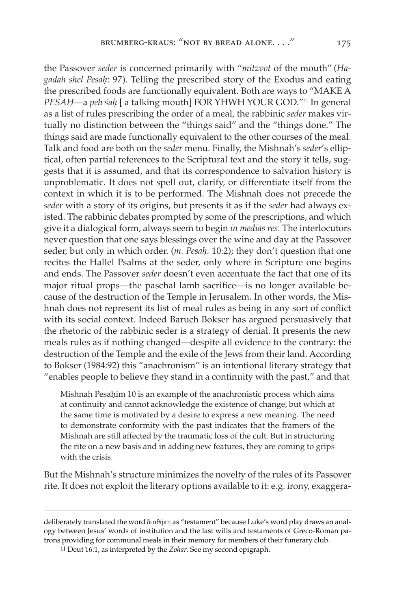the Passover *seder* is concerned primarily with "*mitzvot* of the mouth" (*Hagadah shel Pesah*\: 97). Telling the prescribed story of the Exodus and eating the prescribed foods are functionally equivalent. Both are ways to "MAKE A *PESAH—a peh sah* [ a talking mouth] FOR YHWH YOUR GOD."<sup>11</sup> In general as a list of rules prescribing the order of a meal, the rabbinic *seder* makes virtually no distinction between the "things said" and the "things done." The things said are made functionally equivalent to the other courses of the meal. Talk and food are both on the *seder* menu. Finally, the Mishnah's *seder*'s elliptical, often partial references to the Scriptural text and the story it tells, suggests that it is assumed, and that its correspondence to salvation history is unproblematic. It does not spell out, clarify, or differentiate itself from the context in which it is to be performed. The Mishnah does not precede the *seder* with a story of its origins, but presents it as if the *seder* had always existed. The rabbinic debates prompted by some of the prescriptions, and which give it a dialogical form, always seem to begin *in medias res.* The interlocutors never question that one says blessings over the wine and day at the Passover seder, but only in which order. (*m. Pesah.* 10:2); they don't question that one recites the Hallel Psalms at the seder, only where in Scripture one begins and ends. The Passover *seder* doesn't even accentuate the fact that one of its major ritual props—the paschal lamb sacrifice—is no longer available because of the destruction of the Temple in Jerusalem. In other words, the Mishnah does not represent its list of meal rules as being in any sort of conflict with its social context. Indeed Baruch Bokser has argued persuasively that the rhetoric of the rabbinic seder is a strategy of denial. It presents the new meals rules as if nothing changed—despite all evidence to the contrary: the destruction of the Temple and the exile of the Jews from their land. According to Bokser (1984:92) this "anachronism" is an intentional literary strategy that "enables people to believe they stand in a continuity with the past," and that

Mishnah Pesahim 10 is an example of the anachronistic process which aims at continuity and cannot acknowledge the existence of change, but which at the same time is motivated by a desire to express a new meaning. The need to demonstrate conformity with the past indicates that the framers of the Mishnah are still affected by the traumatic loss of the cult. But in structuring the rite on a new basis and in adding new features, they are coming to grips with the crisis.

But the Mishnah's structure minimizes the novelty of the rules of its Passover rite. It does not exploit the literary options available to it: e.g. irony, exaggera-

11 Deut 16:1, as interpreted by the *Zohar*. See my second epigraph.

deliberately translated the word διαθήκη as "testament" because Luke's word play draws an analogy between Jesus' words of institution and the last wills and testaments of Greco-Roman patrons providing for communal meals in their memory for members of their funerary club.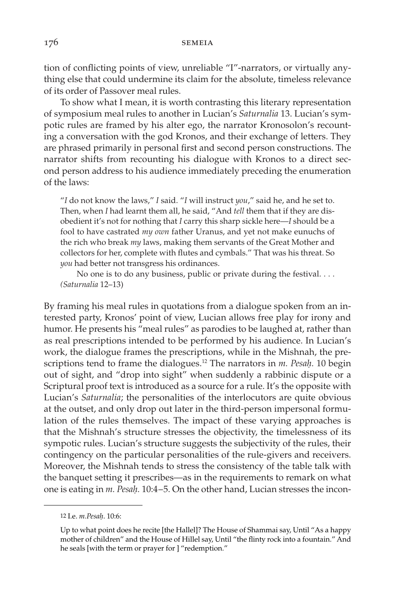tion of conflicting points of view, unreliable "I"-narrators, or virtually anything else that could undermine its claim for the absolute, timeless relevance of its order of Passover meal rules.

To show what I mean, it is worth contrasting this literary representation of symposium meal rules to another in Lucian's *Saturnalia* 13. Lucian's sympotic rules are framed by his alter ego, the narrator Kronosolon's recounting a conversation with the god Kronos, and their exchange of letters. They are phrased primarily in personal first and second person constructions. The narrator shifts from recounting his dialogue with Kronos to a direct second person address to his audience immediately preceding the enumeration of the laws:

"*I* do not know the laws," *I* said. "*I* will instruct *you*," said he, and he set to. Then, when *I* had learnt them all, he said, "And *tell* them that if they are disobedient it's not for nothing that *I* carry this sharp sickle here—*I* should be a fool to have castrated *my own* father Uranus, and yet not make eunuchs of the rich who break *my* laws, making them servants of the Great Mother and collectors for her, complete with flutes and cymbals." That was his threat. So *you* had better not transgress his ordinances.

No one is to do any business, public or private during the festival. . . . *(Saturnalia* 12–13)

By framing his meal rules in quotations from a dialogue spoken from an interested party, Kronos' point of view, Lucian allows free play for irony and humor. He presents his "meal rules" as parodies to be laughed at, rather than as real prescriptions intended to be performed by his audience. In Lucian's work, the dialogue frames the prescriptions, while in the Mishnah, the prescriptions tend to frame the dialogues.<sup>12</sup> The narrators in *m. Pesah*. 10 begin out of sight, and "drop into sight" when suddenly a rabbinic dispute or a Scriptural proof text is introduced as a source for a rule. It's the opposite with Lucian's *Saturnalia*; the personalities of the interlocutors are quite obvious at the outset, and only drop out later in the third-person impersonal formulation of the rules themselves. The impact of these varying approaches is that the Mishnah's structure stresses the objectivity, the timelessness of its sympotic rules. Lucian's structure suggests the subjectivity of the rules, their contingency on the particular personalities of the rule-givers and receivers. Moreover, the Mishnah tends to stress the consistency of the table talk with the banquet setting it prescribes—as in the requirements to remark on what one is eating in *m. Pesah*\*.* 10:4–5. On the other hand, Lucian stresses the incon-

<sup>12</sup> I.e. *m.Pesah*\. 10:6:

Up to what point does he recite [the Hallel]? The House of Shammai say, Until "As a happy mother of children" and the House of Hillel say, Until "the flinty rock into a fountain." And he seals [with the term or prayer for ] "redemption."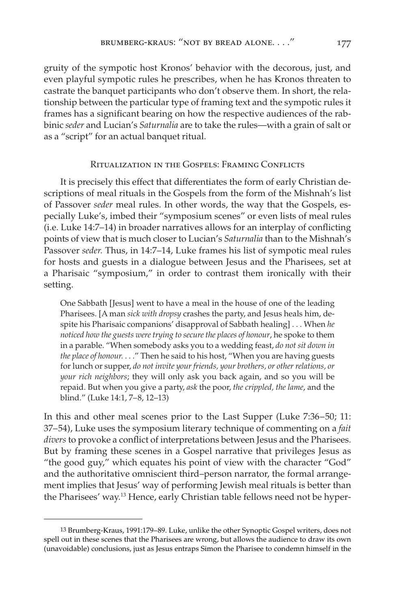gruity of the sympotic host Kronos' behavior with the decorous, just, and even playful sympotic rules he prescribes, when he has Kronos threaten to castrate the banquet participants who don't observe them. In short, the relationship between the particular type of framing text and the sympotic rules it frames has a significant bearing on how the respective audiences of the rabbinic *seder* and Lucian's *Saturnalia* are to take the rules—with a grain of salt or as a "script" for an actual banquet ritual.

## Ritualization in the Gospels: Framing Conflicts

It is precisely this effect that differentiates the form of early Christian descriptions of meal rituals in the Gospels from the form of the Mishnah's list of Passover *seder* meal rules. In other words, the way that the Gospels, especially Luke's, imbed their "symposium scenes" or even lists of meal rules (i.e. Luke 14:7–14) in broader narratives allows for an interplay of conflicting points of view that is much closer to Lucian's *Saturnalia* than to the Mishnah's Passover *seder.* Thus, in 14:7–14, Luke frames his list of sympotic meal rules for hosts and guests in a dialogue between Jesus and the Pharisees, set at a Pharisaic "symposium," in order to contrast them ironically with their setting.

One Sabbath [Jesus] went to have a meal in the house of one of the leading Pharisees. [A man *sick with dropsy* crashes the party, and Jesus heals him, despite his Pharisaic companions' disapproval of Sabbath healing] . . . When *he noticed how the guests were trying to secure the places of honour*, he spoke to them in a parable. "When somebody asks you to a wedding feast, *do not sit down in the place of honour.* . . ." Then he said to his host, "When you are having guests for lunch or supper, *do not invite your friends, your brothers, or other relations, or your rich neighbors*; they will only ask you back again, and so you will be repaid. But when you give a party, *ask* the poor, *the crippled, the lame*, and the blind." (Luke 14:1, 7–8, 12–13)

In this and other meal scenes prior to the Last Supper (Luke 7:36–50; 11: 37–54), Luke uses the symposium literary technique of commenting on a *fait divers* to provoke a conflict of interpretations between Jesus and the Pharisees. But by framing these scenes in a Gospel narrative that privileges Jesus as "the good guy," which equates his point of view with the character "God" and the authoritative omniscient third–person narrator, the formal arrangement implies that Jesus' way of performing Jewish meal rituals is better than the Pharisees' way.13 Hence, early Christian table fellows need not be hyper-

<sup>13</sup> Brumberg-Kraus, 1991:179–89. Luke, unlike the other Synoptic Gospel writers, does not spell out in these scenes that the Pharisees are wrong, but allows the audience to draw its own (unavoidable) conclusions, just as Jesus entraps Simon the Pharisee to condemn himself in the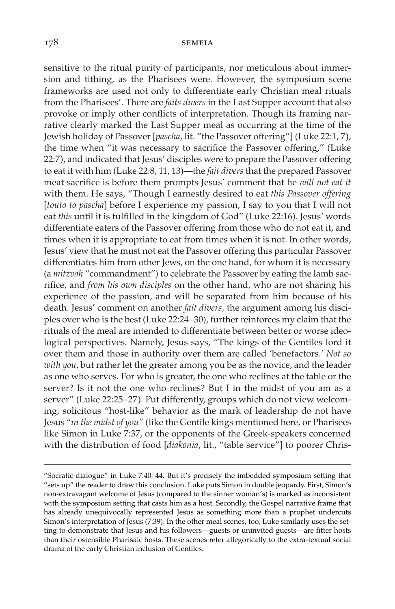sensitive to the ritual purity of participants, nor meticulous about immersion and tithing, as the Pharisees were. However, the symposium scene frameworks are used not only to differentiate early Christian meal rituals from the Pharisees'. There are *faits divers* in the Last Supper account that also provoke or imply other conflicts of interpretation. Though its framing narrative clearly marked the Last Supper meal as occurring at the time of the Jewish holiday of Passover [*pascha*, lit. "the Passover offering"] (Luke 22:1, 7), the time when "it was necessary to sacrifice the Passover offering," (Luke 22:7), and indicated that Jesus' disciples were to prepare the Passover offering to eat it with him (Luke 22:8, 11, 13)—the *fait divers* that the prepared Passover meat sacrifice is before them prompts Jesus' comment that he *will not eat it* with them. He says, "Though I earnestly desired to eat *this Passover offering* [*touto to pascha*] before I experience my passion, I say to you that I will not eat *this* until it is fulfilled in the kingdom of God" (Luke 22:16). Jesus' words differentiate eaters of the Passover offering from those who do not eat it, and times when it is appropriate to eat from times when it is not. In other words, Jesus' view that he must not eat the Passover offering this particular Passover differentiates him from other Jews, on the one hand, for whom it is necessary (a *mitzvah* "commandment") to celebrate the Passover by eating the lamb sacrifice, and *from his own disciples* on the other hand, who are not sharing his experience of the passion, and will be separated from him because of his death. Jesus' comment on another *fait divers,* the argument among his disciples over who is the best (Luke 22:24–30), further reinforces my claim that the rituals of the meal are intended to differentiate between better or worse ideological perspectives. Namely, Jesus says, "The kings of the Gentiles lord it over them and those in authority over them are called 'benefactors.' *Not so with you*, but rather let the greater among you be as the novice, and the leader as one who serves. For who is greater, the one who reclines at the table or the server? Is it not the one who reclines? But I in the midst of you am as a server" (Luke 22:25–27). Put differently, groups which do not view welcoming, solicitous "host-like" behavior as the mark of leadership do not have Jesus "*in the midst of you"* (like the Gentile kings mentioned here, or Pharisees like Simon in Luke 7:37, or the opponents of the Greek-speakers concerned with the distribution of food [*diakonia*, lit., "table service"] to poorer Chris-

<sup>&</sup>quot;Socratic dialogue" in Luke 7:40–44. But it's precisely the imbedded symposium setting that "sets up" the reader to draw this conclusion. Luke puts Simon in double jeopardy. First, Simon's non-extravagant welcome of Jesus (compared to the sinner woman's) is marked as inconsistent with the symposium setting that casts him as a host. Secondly, the Gospel narrative frame that has already unequivocally represented Jesus as something more than a prophet undercuts Simon's interpretation of Jesus (7:39). In the other meal scenes, too, Luke similarly uses the setting to demonstrate that Jesus and his followers—guests or uninvited guests—are fitter hosts than their ostensible Pharisaic hosts. These scenes refer allegorically to the extra-textual social drama of the early Christian inclusion of Gentiles.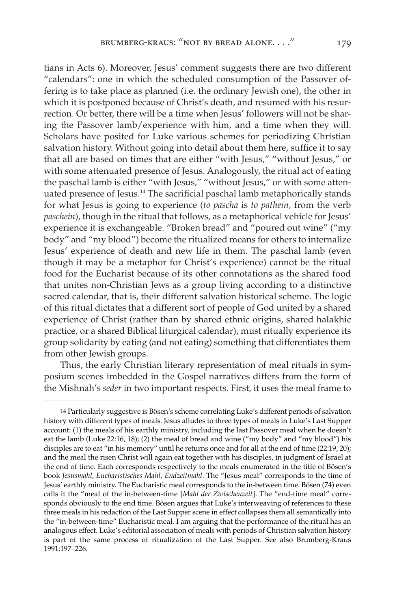tians in Acts 6). Moreover, Jesus' comment suggests there are two different "calendars": one in which the scheduled consumption of the Passover offering is to take place as planned (i.e. the ordinary Jewish one), the other in which it is postponed because of Christ's death, and resumed with his resurrection. Or better, there will be a time when Jesus' followers will not be sharing the Passover lamb/experience with him, and a time when they will. Scholars have posited for Luke various schemes for periodizing Christian salvation history. Without going into detail about them here, suffice it to say that all are based on times that are either "with Jesus," "without Jesus," or with some attenuated presence of Jesus. Analogously, the ritual act of eating the paschal lamb is either "with Jesus," "without Jesus," or with some attenuated presence of Jesus.14 The sacrificial paschal lamb metaphorically stands for what Jesus is going to experience (*to pascha* is *to pathein,* from the verb *paschein*), though in the ritual that follows, as a metaphorical vehicle for Jesus' experience it is exchangeable. "Broken bread" and "poured out wine" ("my body" and "my blood") become the ritualized means for others to internalize Jesus' experience of death and new life in them. The paschal lamb (even though it may be a metaphor for Christ's experience) cannot be the ritual food for the Eucharist because of its other connotations as the shared food that unites non-Christian Jews as a group living according to a distinctive sacred calendar, that is, their different salvation historical scheme. The logic of this ritual dictates that a different sort of people of God united by a shared experience of Christ (rather than by shared ethnic origins, shared halakhic practice, or a shared Biblical liturgical calendar), must ritually experience its group solidarity by eating (and not eating) something that differentiates them from other Jewish groups.

Thus, the early Christian literary representation of meal rituals in symposium scenes imbedded in the Gospel narratives differs from the form of the Mishnah's *seder* in two important respects. First, it uses the meal frame to

<sup>14</sup> Particularly suggestive is Bösen's scheme correlating Luke's different periods of salvation history with different types of meals. Jesus alludes to three types of meals in Luke's Last Supper account: (1) the meals of his earthly ministry, including the last Passover meal when he doesn't eat the lamb (Luke 22:16, 18); (2) the meal of bread and wine ("my body" and "my blood") his disciples are to eat "in his memory" until he returns once and for all at the end of time (22:19, 20); and the meal the risen Christ will again eat together with his disciples, in judgment of Israel at the end of time. Each corresponds respectively to the meals enumerated in the title of Bösen's book *Jesusmahl, Eucharistisches Mahl, Endzeitmahl*. The "Jesus meal" corresponds to the time of Jesus' earthly ministry. The Eucharistic meal corresponds to the in-between time. Bösen (74) even calls it the "meal of the in-between-time [*Mahl der Zwischenzeit*]. The "end-time meal" corresponds obviously to the end time. Bösen argues that Luke's interweaving of references to these three meals in his redaction of the Last Supper scene in effect collapses them all semantically into the "in-between-time" Eucharistic meal. I am arguing that the performance of the ritual has an analogous effect. Luke's editorial association of meals with periods of Christian salvation history is part of the same process of ritualization of the Last Supper. See also Brumberg-Kraus 1991:197–226.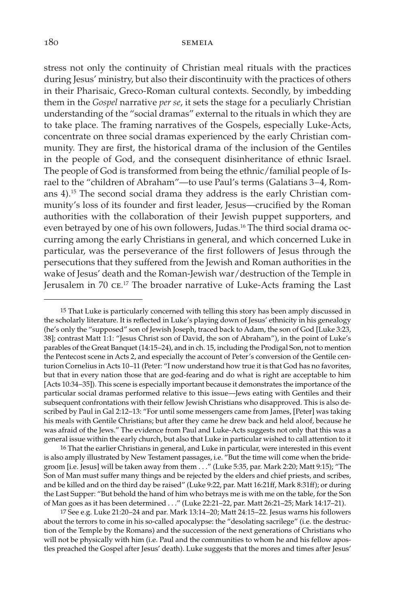stress not only the continuity of Christian meal rituals with the practices during Jesus' ministry, but also their discontinuity with the practices of others in their Pharisaic, Greco-Roman cultural contexts. Secondly, by imbedding them in the *Gospel* narrative *per se*, it sets the stage for a peculiarly Christian understanding of the "social dramas" external to the rituals in which they are to take place. The framing narratives of the Gospels, especially Luke-Acts, concentrate on three social dramas experienced by the early Christian community. They are first, the historical drama of the inclusion of the Gentiles in the people of God, and the consequent disinheritance of ethnic Israel. The people of God is transformed from being the ethnic/familial people of Israel to the "children of Abraham"—to use Paul's terms (Galatians 3–4, Romans 4).15 The second social drama they address is the early Christian community's loss of its founder and first leader, Jesus—crucified by the Roman authorities with the collaboration of their Jewish puppet supporters, and even betrayed by one of his own followers, Judas.<sup>16</sup> The third social drama occurring among the early Christians in general, and which concerned Luke in particular, was the perseverance of the first followers of Jesus through the persecutions that they suffered from the Jewish and Roman authorities in the wake of Jesus' death and the Roman-Jewish war/destruction of the Temple in Jerusalem in 70 ce.<sup>17</sup> The broader narrative of Luke-Acts framing the Last

15 That Luke is particularly concerned with telling this story has been amply discussed in the scholarly literature. It is reflected in Luke's playing down of Jesus' ethnicity in his genealogy (he's only the "supposed" son of Jewish Joseph, traced back to Adam, the son of God [Luke 3:23, 38]; contrast Matt 1:1: "Jesus Christ son of David, the son of Abraham"), in the point of Luke's parables of the Great Banquet (14:15–24), and in ch. 15, including the Prodigal Son, not to mention the Pentecost scene in Acts 2, and especially the account of Peter's conversion of the Gentile centurion Cornelius in Acts 10–11 (Peter: "I now understand how true it is that God has no favorites, but that in every nation those that are god-fearing and do what is right are acceptable to him [Acts 10:34–35]). This scene is especially important because it demonstrates the importance of the particular social dramas performed relative to this issue—Jews eating with Gentiles and their subsequent confrontations with their fellow Jewish Christians who disapproved. This is also described by Paul in Gal 2:12–13: "For until some messengers came from James, [Peter] was taking his meals with Gentile Christians; but after they came he drew back and held aloof, because he was afraid of the Jews." The evidence from Paul and Luke-Acts suggests not only that this was a general issue within the early church, but also that Luke in particular wished to call attention to it

16 That the earlier Christians in general, and Luke in particular, were interested in this event is also amply illustrated by New Testament passages, i.e. "But the time will come when the bridegroom [i.e. Jesus] will be taken away from them . . ." (Luke 5:35, par. Mark 2:20; Matt 9:15); "The Son of Man must suffer many things and be rejected by the elders and chief priests, and scribes, and be killed and on the third day be raised" (Luke 9:22, par. Matt 16:21ff, Mark 8:31ff); or during the Last Supper: "But behold the hand of him who betrays me is with me on the table, for the Son of Man goes as it has been determined . . ." (Luke 22:21–22, par. Matt 26:21–25; Mark 14:17–21).

17 See e.g. Luke 21:20–24 and par. Mark 13:14–20; Matt 24:15–22. Jesus warns his followers about the terrors to come in his so-called apocalypse: the "desolating sacrilege" (i.e. the destruction of the Temple by the Romans) and the succession of the next generations of Christians who will not be physically with him (i.e. Paul and the communities to whom he and his fellow apostles preached the Gospel after Jesus' death). Luke suggests that the mores and times after Jesus'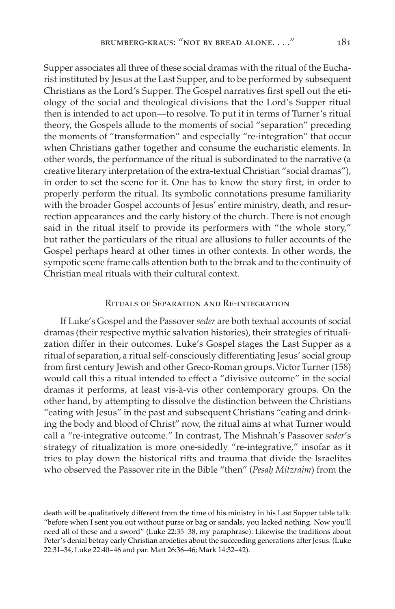Supper associates all three of these social dramas with the ritual of the Eucharist instituted by Jesus at the Last Supper, and to be performed by subsequent Christians as the Lord's Supper. The Gospel narratives first spell out the etiology of the social and theological divisions that the Lord's Supper ritual then is intended to act upon—to resolve. To put it in terms of Turner's ritual theory, the Gospels allude to the moments of social "separation" preceding the moments of "transformation" and especially "re-integration" that occur when Christians gather together and consume the eucharistic elements. In other words, the performance of the ritual is subordinated to the narrative (a creative literary interpretation of the extra-textual Christian "social dramas"), in order to set the scene for it. One has to know the story first, in order to properly perform the ritual. Its symbolic connotations presume familiarity with the broader Gospel accounts of Jesus' entire ministry, death, and resurrection appearances and the early history of the church. There is not enough said in the ritual itself to provide its performers with "the whole story," but rather the particulars of the ritual are allusions to fuller accounts of the Gospel perhaps heard at other times in other contexts. In other words, the sympotic scene frame calls attention both to the break and to the continuity of Christian meal rituals with their cultural context.

# Rituals of Separation and Re-integration

If Luke's Gospel and the Passover *seder* are both textual accounts of social dramas (their respective mythic salvation histories), their strategies of ritualization differ in their outcomes. Luke's Gospel stages the Last Supper as a ritual of separation, a ritual self-consciously differentiating Jesus' social group from first century Jewish and other Greco-Roman groups. Victor Turner (158) would call this a ritual intended to effect a "divisive outcome" in the social dramas it performs, at least vis-à-vis other contemporary groups. On the other hand, by attempting to dissolve the distinction between the Christians "eating with Jesus" in the past and subsequent Christians "eating and drinking the body and blood of Christ" now, the ritual aims at what Turner would call a "re-integrative outcome." In contrast, The Mishnah's Passover *seder*'s strategy of ritualization is more one-sidedly "re-integrative," insofar as it tries to play down the historical rifts and trauma that divide the Israelites who observed the Passover rite in the Bible "then" (*Pesah*\ *Mitzraim*) from the

death will be qualitatively different from the time of his ministry in his Last Supper table talk: "before when I sent you out without purse or bag or sandals, you lacked nothing. Now you'll need all of these and a sword" (Luke 22:35–38, my paraphrase). Likewise the traditions about Peter's denial betray early Christian anxieties about the succeeding generations after Jesus. (Luke 22:31–34, Luke 22:40–46 and par. Matt 26:36–46; Mark 14:32–42).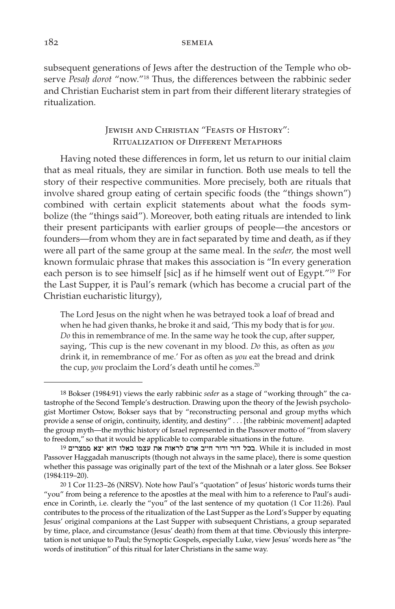subsequent generations of Jews after the destruction of the Temple who observe Pesah dorot "now."<sup>18</sup> Thus, the differences between the rabbinic seder and Christian Eucharist stem in part from their different literary strategies of ritualization.

# Jewish and Christian "Feasts of History": Ritualization of Different Metaphors

Having noted these differences in form, let us return to our initial claim that as meal rituals, they are similar in function. Both use meals to tell the story of their respective communities. More precisely, both are rituals that involve shared group eating of certain specific foods (the "things shown") combined with certain explicit statements about what the foods symbolize (the "things said"). Moreover, both eating rituals are intended to link their present participants with earlier groups of people—the ancestors or founders—from whom they are in fact separated by time and death, as if they were all part of the same group at the same meal. In the *seder,* the most well known formulaic phrase that makes this association is "In every generation each person is to see himself [sic] as if he himself went out of Egypt."19 For the Last Supper, it is Paul's remark (which has become a crucial part of the Christian eucharistic liturgy),

The Lord Jesus on the night when he was betrayed took a loaf of bread and when he had given thanks, he broke it and said, 'This my body that is for *you*. *Do* this in remembrance of me. In the same way he took the cup, after supper, saying, 'This cup is the new covenant in my blood. *Do* this, as often as *you* drink it, in remembrance of me.' For as often as *you* eat the bread and drink the cup, *you* proclaim the Lord's death until he comes.<sup>20</sup>

<sup>18</sup> Bokser (1984:91) views the early rabbinic *seder* as a stage of "working through" the catastrophe of the Second Temple's destruction. Drawing upon the theory of the Jewish psychologist Mortimer Ostow, Bokser says that by "reconstructing personal and group myths which provide a sense of origin, continuity, identity, and destiny" . . . [the rabbinic movement] adapted the group myth—the mythic history of Israel represented in the Passover motto of "from slavery to freedom," so that it would be applicable to comparable situations in the future.

<sup>19</sup> בכל דור ודור חייב אדם לראות את עצמו כאלו הוא יצא ממצרים  $\,$  While it is included in most Passover Haggadah manuscripts (though not always in the same place), there is some question whether this passage was originally part of the text of the Mishnah or a later gloss. See Bokser (1984:119–20).

<sup>20</sup> 1 Cor 11:23–26 (NRSV). Note how Paul's "quotation" of Jesus' historic words turns their "you" from being a reference to the apostles at the meal with him to a reference to Paul's audience in Corinth, i.e. clearly the "you" of the last sentence of my quotation (1 Cor 11:26). Paul contributes to the process of the ritualization of the Last Supper as the Lord's Supper by equating Jesus' original companions at the Last Supper with subsequent Christians, a group separated by time, place, and circumstance (Jesus' death) from them at that time. Obviously this interpretation is not unique to Paul; the Synoptic Gospels, especially Luke, view Jesus' words here as "the words of institution" of this ritual for later Christians in the same way.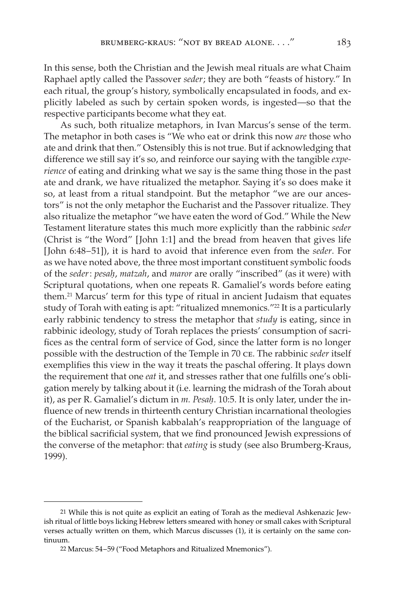In this sense, both the Christian and the Jewish meal rituals are what Chaim Raphael aptly called the Passover *seder*; they are both "feasts of history." In each ritual, the group's history, symbolically encapsulated in foods, and explicitly labeled as such by certain spoken words, is ingested—so that the respective participants become what they eat.

As such, both ritualize metaphors, in Ivan Marcus's sense of the term. The metaphor in both cases is "We who eat or drink this now *are* those who ate and drink that then." Ostensibly this is not true. But if acknowledging that difference we still say it's so, and reinforce our saying with the tangible *experience* of eating and drinking what we say is the same thing those in the past ate and drank, we have ritualized the metaphor. Saying it's so does make it so, at least from a ritual standpoint. But the metaphor "we are our ancestors" is not the only metaphor the Eucharist and the Passover ritualize. They also ritualize the metaphor "we have eaten the word of God." While the New Testament literature states this much more explicitly than the rabbinic *seder* (Christ is "the Word" [John 1:1] and the bread from heaven that gives life [John 6:48–51]), it is hard to avoid that inference even from the *seder*. For as we have noted above, the three most important constituent symbolic foods of the *seder*: *pesah*\, *matzah*, and *maror* are orally "inscribed" (as it were) with Scriptural quotations, when one repeats R. Gamaliel's words before eating them.21 Marcus' term for this type of ritual in ancient Judaism that equates study of Torah with eating is apt: "ritualized mnemonics."<sup>22</sup> It is a particularly early rabbinic tendency to stress the metaphor that *study* is eating, since in rabbinic ideology, study of Torah replaces the priests' consumption of sacrifices as the central form of service of God, since the latter form is no longer possible with the destruction of the Temple in 70 ce. The rabbinic *seder* itself exemplifies this view in the way it treats the paschal offering. It plays down the requirement that one *eat* it, and stresses rather that one fulfills one's obligation merely by talking about it (i.e. learning the midrash of the Torah about it), as per R. Gamaliel's dictum in *m. Pesah*. 10:5. It is only later, under the influence of new trends in thirteenth century Christian incarnational theologies of the Eucharist, or Spanish kabbalah's reappropriation of the language of the biblical sacrificial system, that we find pronounced Jewish expressions of the converse of the metaphor: that *eating* is study (see also Brumberg-Kraus, 1999).

<sup>21</sup> While this is not quite as explicit an eating of Torah as the medieval Ashkenazic Jewish ritual of little boys licking Hebrew letters smeared with honey or small cakes with Scriptural verses actually written on them, which Marcus discusses (1), it is certainly on the same continuum.

<sup>22</sup> Marcus: 54–59 ("Food Metaphors and Ritualized Mnemonics").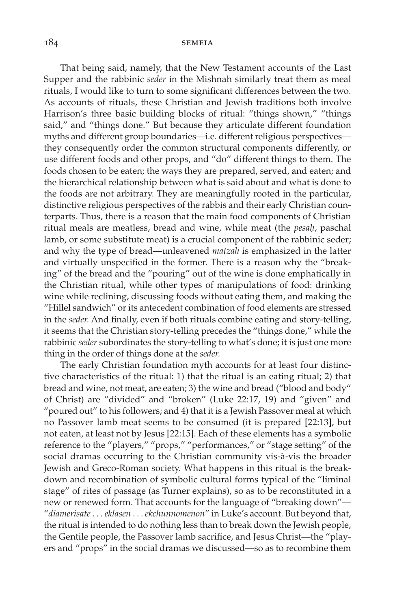That being said, namely, that the New Testament accounts of the Last Supper and the rabbinic *seder* in the Mishnah similarly treat them as meal rituals, I would like to turn to some significant differences between the two. As accounts of rituals, these Christian and Jewish traditions both involve Harrison's three basic building blocks of ritual: "things shown," "things said," and "things done." But because they articulate different foundation myths and different group boundaries—i.e. different religious perspectives they consequently order the common structural components differently, or use different foods and other props, and "do" different things to them. The foods chosen to be eaten; the ways they are prepared, served, and eaten; and the hierarchical relationship between what is said about and what is done to the foods are not arbitrary. They are meaningfully rooted in the particular, distinctive religious perspectives of the rabbis and their early Christian counterparts. Thus, there is a reason that the main food components of Christian ritual meals are meatless, bread and wine, while meat (the *pesah*\, paschal lamb, or some substitute meat) is a crucial component of the rabbinic seder; and why the type of bread—unleavened *matzah* is emphasized in the latter and virtually unspecified in the former. There is a reason why the "breaking" of the bread and the "pouring" out of the wine is done emphatically in the Christian ritual, while other types of manipulations of food: drinking wine while reclining, discussing foods without eating them, and making the "Hillel sandwich" or its antecedent combination of food elements are stressed in the *seder.* And finally, even if both rituals combine eating and story-telling, it seems that the Christian story-telling precedes the "things done," while the rabbinic *seder* subordinates the story-telling to what's done; it is just one more thing in the order of things done at the *seder.*

The early Christian foundation myth accounts for at least four distinctive characteristics of the ritual: 1) that the ritual is an eating ritual; 2) that bread and wine, not meat, are eaten; 3) the wine and bread ("blood and body" of Christ) are "divided" and "broken" (Luke 22:17, 19) and "given" and "poured out" to his followers; and 4) that it is a Jewish Passover meal at which no Passover lamb meat seems to be consumed (it is prepared [22:13], but not eaten, at least not by Jesus [22:15]. Each of these elements has a symbolic reference to the "players," "props," "performances," or "stage setting" of the social dramas occurring to the Christian community vis-à-vis the broader Jewish and Greco-Roman society. What happens in this ritual is the breakdown and recombination of symbolic cultural forms typical of the "liminal stage" of rites of passage (as Turner explains), so as to be reconstituted in a new or renewed form. That accounts for the language of "breaking down"— "*diamerisate* . . . *eklasen* . . . *ekchunnomenon*" in Luke's account. But beyond that, the ritual is intended to do nothing less than to break down the Jewish people, the Gentile people, the Passover lamb sacrifice, and Jesus Christ—the "players and "props" in the social dramas we discussed—so as to recombine them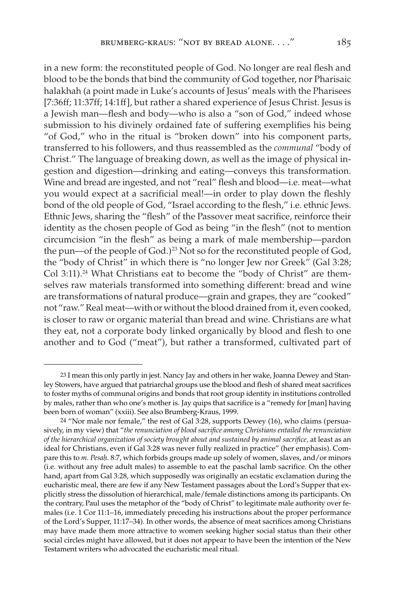in a new form: the reconstituted people of God. No longer are real flesh and blood to be the bonds that bind the community of God together, nor Pharisaic halakhah (a point made in Luke's accounts of Jesus' meals with the Pharisees [7:36ff; 11:37ff; 14:1ff], but rather a shared experience of Jesus Christ. Jesus is a Jewish man—flesh and body—who is also a "son of God," indeed whose submission to his divinely ordained fate of suffering exemplifies his being "of God," who in the ritual is "broken down" into his component parts, transferred to his followers, and thus reassembled as the *communal* "body of Christ." The language of breaking down, as well as the image of physical ingestion and digestion—drinking and eating—conveys this transformation. Wine and bread are ingested, and not "real" flesh and blood—i.e. meat—what you would expect at a sacrificial meal!—in order to play down the fleshly bond of the old people of God, "Israel according to the flesh," i.e. ethnic Jews. Ethnic Jews, sharing the "flesh" of the Passover meat sacrifice, reinforce their identity as the chosen people of God as being "in the flesh" (not to mention circumcision "in the flesh" as being a mark of male membership—pardon the pun—of the people of God.)<sup>23</sup> Not so for the reconstituted people of God, the "body of Christ" in which there is "no longer Jew nor Greek" (Gal 3:28; Col 3:11).<sup>24</sup> What Christians eat to become the "body of Christ" are themselves raw materials transformed into something different: bread and wine are transformations of natural produce—grain and grapes, they are "cooked" not "raw." Real meat—with or without the blood drained from it, even cooked, is closer to raw or organic material than bread and wine. Christians are what they eat, not a corporate body linked organically by blood and flesh to one another and to God ("meat"), but rather a transformed, cultivated part of

<sup>23</sup> I mean this only partly in jest. Nancy Jay and others in her wake, Joanna Dewey and Stanley Stowers, have argued that patriarchal groups use the blood and flesh of shared meat sacrifices to foster myths of communal origins and bonds that root group identity in institutions controlled by males, rather than who one's mother is. Jay quips that sacrifice is a "remedy for [man] having been born of woman" (xxiii). See also Brumberg-Kraus, 1999.

<sup>24</sup> "Nor male nor female," the rest of Gal 3:28, supports Dewey (16), who claims (persuasively, in my view) that "*the renunciation of blood sacrifice among Christians entailed the renunciation of the hierarchical organization of society brought about and sustained by animal sacrifice,* at least as an ideal for Christians, even if Gal 3:28 was never fully realized in practice" (her emphasis). Compare this to *m. Pesah*. 8:7, which forbids groups made up solely of women, slaves, and/or minors (i.e. without any free adult males) to assemble to eat the paschal lamb sacrifice. On the other hand, apart from Gal 3:28, which supposedly was originally an ecstatic exclamation during the eucharistic meal, there are few if any New Testament passages about the Lord's Supper that explicitly stress the dissolution of hierarchical, male/female distinctions among its participants. On the contrary, Paul uses the metaphor of the "body of Christ" to legitimate male authority over females (i.e. 1 Cor 11:1–16, immediately preceding his instructions about the proper performance of the Lord's Supper, 11:17–34). In other words, the absence of meat sacrifices among Christians may have made them more attractive to women seeking higher social status than their other social circles might have allowed, but it does not appear to have been the intention of the New Testament writers who advocated the eucharistic meal ritual.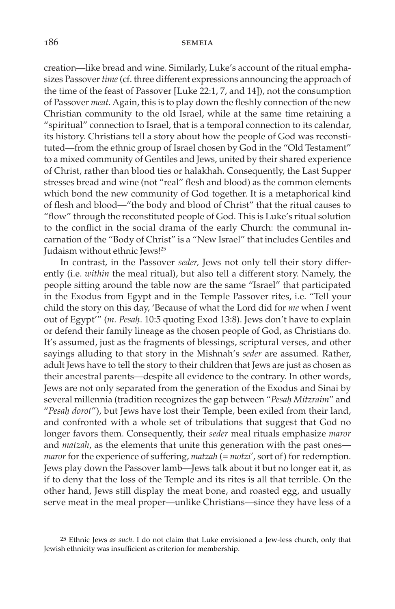creation—like bread and wine. Similarly, Luke's account of the ritual emphasizes Passover *time* (cf. three different expressions announcing the approach of the time of the feast of Passover [Luke 22:1, 7, and 14]), not the consumption of Passover *meat.* Again, this is to play down the fleshly connection of the new Christian community to the old Israel, while at the same time retaining a "spiritual" connection to Israel, that is a temporal connection to its calendar, its history. Christians tell a story about how the people of God was reconstituted—from the ethnic group of Israel chosen by God in the "Old Testament" to a mixed community of Gentiles and Jews, united by their shared experience of Christ, rather than blood ties or halakhah. Consequently, the Last Supper stresses bread and wine (not "real" flesh and blood) as the common elements which bond the new community of God together. It is a metaphorical kind of flesh and blood—"the body and blood of Christ" that the ritual causes to "flow" through the reconstituted people of God. This is Luke's ritual solution to the conflict in the social drama of the early Church: the communal incarnation of the "Body of Christ" is a "New Israel" that includes Gentiles and Judaism without ethnic Jews!25

In contrast, in the Passover *seder,* Jews not only tell their story differently (i.e. *within* the meal ritual), but also tell a different story. Namely, the people sitting around the table now are the same "Israel" that participated in the Exodus from Egypt and in the Temple Passover rites, i.e. "Tell your child the story on this day, 'Because of what the Lord did for *me* when *I* went out of Egypt'" (*m. Pesah.* 10:5 quoting Exod 13:8). Jews don't have to explain or defend their family lineage as the chosen people of God, as Christians do. It's assumed, just as the fragments of blessings, scriptural verses, and other sayings alluding to that story in the Mishnah's *seder* are assumed. Rather, adult Jews have to tell the story to their children that Jews are just as chosen as their ancestral parents—despite all evidence to the contrary. In other words, Jews are not only separated from the generation of the Exodus and Sinai by several millennia (tradition recognizes the gap between "*Pesah*\ *Mitzraim*" and "*Pesah*\ *dorot*"), but Jews have lost their Temple, been exiled from their land, and confronted with a whole set of tribulations that suggest that God no longer favors them. Consequently, their *seder* meal rituals emphasize *maror* and *matzah*, as the elements that unite this generation with the past ones *maror* for the experience of suffering, *matzah* (= *motzi'*, sort of) for redemption. Jews play down the Passover lamb—Jews talk about it but no longer eat it, as if to deny that the loss of the Temple and its rites is all that terrible. On the other hand, Jews still display the meat bone, and roasted egg, and usually serve meat in the meal proper—unlike Christians—since they have less of a

<sup>25</sup> Ethnic Jews *as such*. I do not claim that Luke envisioned a Jew-less church, only that Jewish ethnicity was insufficient as criterion for membership.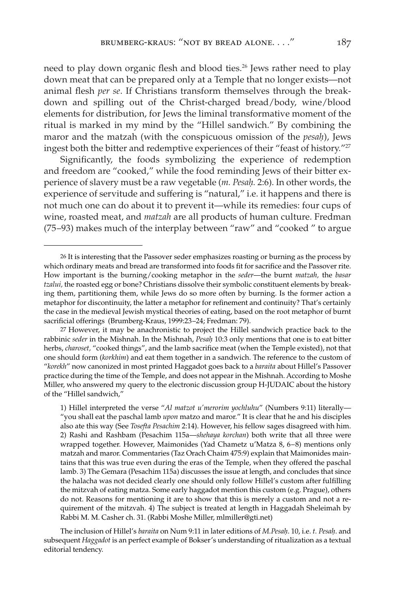need to play down organic flesh and blood ties.26 Jews rather need to play down meat that can be prepared only at a Temple that no longer exists—not animal flesh *per se*. If Christians transform themselves through the breakdown and spilling out of the Christ-charged bread/body, wine/blood elements for distribution, for Jews the liminal transformative moment of the ritual is marked in my mind by the "Hillel sandwich." By combining the maror and the matzah (with the conspicuous omission of the *pesah*\), Jews ingest both the bitter and redemptive experiences of their "feast of history."27

Significantly, the foods symbolizing the experience of redemption and freedom are "cooked," while the food reminding Jews of their bitter experience of slavery must be a raw vegetable (*m. Pesah*\*.* 2:6). In other words, the experience of servitude and suffering is "natural," i.e. it happens and there is not much one can do about it to prevent it—while its remedies: four cups of wine, roasted meat, and *matzah* are all products of human culture. Fredman (75–93) makes much of the interplay between "raw" and "cooked " to argue

The inclusion of Hillel's *baraita* on Num 9:11 in later editions of *M.Pesah*\. 10, i.e. *t. Pesah*\. and subsequent *Haggadot* is an perfect example of Bokser's understanding of ritualization as a textual editorial tendency.

<sup>26</sup> It is interesting that the Passover seder emphasizes roasting or burning as the process by which ordinary meats and bread are transformed into foods fit for sacrifice and the Passover rite. How important is the burning/cooking metaphor in the *seder*—the burnt *matzah,* the *basar tzalui,* the roasted egg or bone? Christians dissolve their symbolic constituent elements by breaking them, partitioning them, while Jews do so more often by burning. Is the former action a metaphor for discontinuity, the latter a metaphor for refinement and continuity? That's certainly the case in the medieval Jewish mystical theories of eating, based on the root metaphor of burnt sacrificial offerings (Brumberg-Kraus, 1999:23–24; Fredman: 79).

<sup>27</sup> However, it may be anachronistic to project the Hillel sandwich practice back to the rabbinic *seder* in the Mishnah. In the Mishnah, *Pesah*\ 10:3 only mentions that one is to eat bitter herbs, *charoset,* "cooked things", and the lamb sacrifice meat (when the Temple existed), not that one should form (*korkhim*) and eat them together in a sandwich. The reference to the custom of "*korekh*" now canonized in most printed Haggadot goes back to a *baraita* about Hillel's Passover practice during the time of the Temple, and does not appear in the Mishnah. According to Moshe Miller, who answered my query to the electronic discussion group H-JUDAIC about the history of the "Hillel sandwich,"

<sup>1)</sup> Hillel interpreted the verse "*Al matzot u'merorim yochluhu*" (Numbers 9:11) literally— "you shall eat the paschal lamb *upon* matzo and maror." It is clear that he and his disciples also ate this way (See *Tosefta Pesachim* 2:14). However, his fellow sages disagreed with him. 2) Rashi and Rashbam (Pesachim 115a—*shehaya korchan*) both write that all three were wrapped together. However, Maimonides (Yad Chametz u'Matza 8, 6–8) mentions only matzah and maror. Commentaries (Taz Orach Chaim 475:9) explain that Maimonides maintains that this was true even during the eras of the Temple, when they offered the paschal lamb. 3) The Gemara (Pesachim 115a) discusses the issue at length, and concludes that since the halacha was not decided clearly one should only follow Hillel's custom after fulfilling the mitzvah of eating matza. Some early haggadot mention this custom (e.g. Prague), others do not. Reasons for mentioning it are to show that this is merely a custom and not a requirement of the mitzvah. 4) The subject is treated at length in Haggadah Sheleimah by Rabbi M. M. Casher ch. 31. (Rabbi Moshe Miller, mlmiller@gti.net)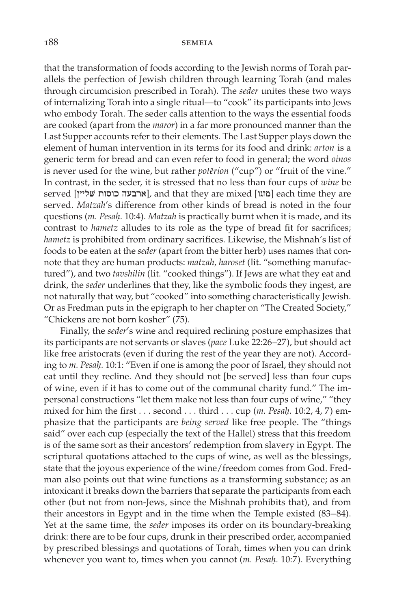#### 188 semelation of the semant semi-

that the transformation of foods according to the Jewish norms of Torah parallels the perfection of Jewish children through learning Torah (and males through circumcision prescribed in Torah). The *seder* unites these two ways of internalizing Torah into a single ritual—to "cook" its participants into Jews who embody Torah. The seder calls attention to the ways the essential foods are cooked (apart from the *maror*) in a far more pronounced manner than the Last Supper accounts refer to their elements. The Last Supper plays down the element of human intervention in its terms for its food and drink: *arton* is a generic term for bread and can even refer to food in general; the word *oinos* is never used for the wine, but rather *poterion* ("cup") or "fruit of the vine." In contrast, in the seder, it is stressed that no less than four cups of *wine* be  $\left[\right]$ ומזגו] each time they are [ארבעה כוסות שליין] each time they are served. *Matzah*'s difference from other kinds of bread is noted in the four questions (*m. Pesah*\*.* 10:4). *Matzah* is practically burnt when it is made, and its contrast to *hametz* alludes to its role as the type of bread fit for sacrifices; *hametz* is prohibited from ordinary sacrifices. Likewise, the Mishnah's list of foods to be eaten at the *seder* (apart from the bitter herb) uses names that connote that they are human products: *matzah, haroset* (lit. "something manufactured"), and two *tavshilin* (lit. "cooked things"). If Jews are what they eat and drink, the *seder* underlines that they, like the symbolic foods they ingest, are not naturally that way, but "cooked" into something characteristically Jewish. Or as Fredman puts in the epigraph to her chapter on "The Created Society," "Chickens are not born kosher" (75).

Finally, the *seder*'s wine and required reclining posture emphasizes that its participants are not servants or slaves (*pace* Luke 22:26–27), but should act like free aristocrats (even if during the rest of the year they are not). According to *m. Pesah*. 10:1: "Even if one is among the poor of Israel, they should not eat until they recline. And they should not [be served] less than four cups of wine, even if it has to come out of the communal charity fund." The impersonal constructions "let them make not less than four cups of wine," "they mixed for him the first . . . second . . . third . . . cup (*m. Pesah*\*.* 10:2, 4, 7) emphasize that the participants are *being served* like free people. The "things said" over each cup (especially the text of the Hallel) stress that this freedom is of the same sort as their ancestors' redemption from slavery in Egypt. The scriptural quotations attached to the cups of wine, as well as the blessings, state that the joyous experience of the wine/freedom comes from God. Fredman also points out that wine functions as a transforming substance; as an intoxicant it breaks down the barriers that separate the participants from each other (but not from non-Jews, since the Mishnah prohibits that), and from their ancestors in Egypt and in the time when the Temple existed (83–84). Yet at the same time, the *seder* imposes its order on its boundary-breaking drink: there are to be four cups, drunk in their prescribed order, accompanied by prescribed blessings and quotations of Torah, times when you can drink whenever you want to, times when you cannot (*m. Pesah*\*.* 10:7). Everything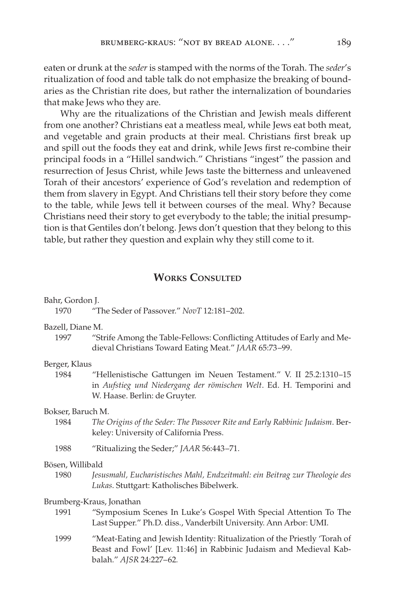eaten or drunk at the *seder* is stamped with the norms of the Torah. The *seder*'s ritualization of food and table talk do not emphasize the breaking of boundaries as the Christian rite does, but rather the internalization of boundaries that make Jews who they are.

Why are the ritualizations of the Christian and Jewish meals different from one another? Christians eat a meatless meal, while Jews eat both meat, and vegetable and grain products at their meal. Christians first break up and spill out the foods they eat and drink, while Jews first re-combine their principal foods in a "Hillel sandwich." Christians "ingest" the passion and resurrection of Jesus Christ, while Jews taste the bitterness and unleavened Torah of their ancestors' experience of God's revelation and redemption of them from slavery in Egypt. And Christians tell their story before they come to the table, while Jews tell it between courses of the meal. Why? Because Christians need their story to get everybody to the table; the initial presumption is that Gentiles don't belong. Jews don't question that they belong to this table, but rather they question and explain why they still come to it.

# **WORKS CONSULTED**

| Bahr, Gordon J. |  |
|-----------------|--|
|                 |  |

1970 "The Seder of Passover." *NovT* 12:181–202.

Bazell, Diane M.

1997 "Strife Among the Table-Fellows: Conflicting Attitudes of Early and Medieval Christians Toward Eating Meat." *JAAR* 65:73–99.

# Berger, Klaus

1984 "Hellenistische Gattungen im Neuen Testament." V. II 25.2:1310–15 in *Aufstieg und Niedergang der römischen Welt*. Ed. H. Temporini and W. Haase. Berlin: de Gruyter.

# Bokser, Baruch M.

1984 *The Origins of the Seder: The Passover Rite and Early Rabbinic Judaism*. Berkeley: University of California Press.

1988 "Ritualizing the Seder;" *JAAR* 56:443–71.

#### Bösen, Willibald

1980 *Jesusmahl, Eucharistisches Mahl, Endzeitmahl: ein Beitrag zur Theologie des Lukas*. Stuttgart: Katholisches Bibelwerk.

# Brumberg-Kraus, Jonathan

- 1991 "Symposium Scenes In Luke's Gospel With Special Attention To The Last Supper." Ph.D. diss., Vanderbilt University. Ann Arbor: UMI.
- 1999 "Meat-Eating and Jewish Identity: Ritualization of the Priestly 'Torah of Beast and Fowl' [Lev. 11:46] in Rabbinic Judaism and Medieval Kabbalah." *AJSR* 24:227–62*.*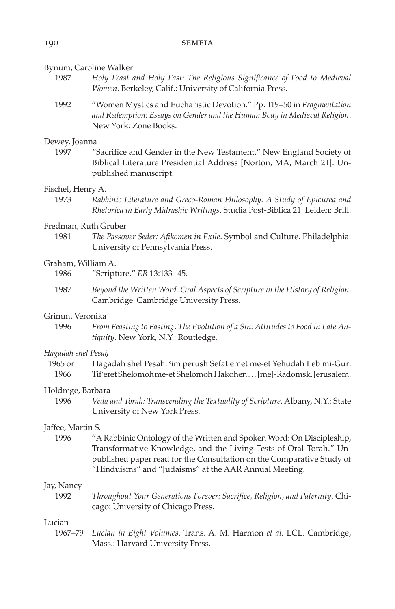#### Bynum, Caroline Walker

- 1987 *Holy Feast and Holy Fast: The Religious Significance of Food to Medieval Women*. Berkeley, Calif.: University of California Press.
- 1992 "Women Mystics and Eucharistic Devotion." Pp. 119–50 in *Fragmentation and Redemption: Essays on Gender and the Human Body in Medieval Religion*. New York: Zone Books.

#### Dewey, Joanna

1997 "Sacrifice and Gender in the New Testament." New England Society of Biblical Literature Presidential Address [Norton, MA, March 21]. Unpublished manuscript.

### Fischel, Henry A.

1973 *Rabbinic Literature and Greco-Roman Philosophy: A Study of Epicurea and Rhetorica in Early Midrashic Writings*. Studia Post-Biblica 21. Leiden: Brill.

### Fredman, Ruth Gruber

1981 *The Passover Seder: Afikomen in Exile*. Symbol and Culture. Philadelphia: University of Pennsylvania Press.

## Graham, William A.

- 1986 "Scripture." *ER* 13:133–45.
- 1987 *Beyond the Written Word: Oral Aspects of Scripture in the History of Religion*. Cambridge: Cambridge University Press.

#### Grimm, Veronika

1996 *From Feasting to Fasting, The Evolution of a Sin: Attitudes to Food in Late Antiquity*. New York, N.Y.: Routledge.

#### *Hagadah shel Pesah*\

| 1965 or | Hagadah shel Pesah: 'im perush Sefat emet me-et Yehudah Leb mi-Gur: |
|---------|---------------------------------------------------------------------|
| 1966    | Tif'eret Shelomoh me-et Shelomoh Hakohen [me]-Radomsk. Jerusalem.   |

# Holdrege, Barbara

1996 *Veda and Torah: Transcending the Textuality of Scripture*. Albany, N.Y.: State University of New York Press.

# Jaffee, Martin S.

1996 "A Rabbinic Ontology of the Written and Spoken Word: On Discipleship, Transformative Knowledge, and the Living Tests of Oral Torah." Unpublished paper read for the Consultation on the Comparative Study of "Hinduisms" and "Judaisms" at the AAR Annual Meeting.

# Jay, Nancy

1992 *Throughout Your Generations Forever: Sacrifice, Religion, and Paternity*. Chicago: University of Chicago Press.

#### Lucian

1967–79 *Lucian in Eight Volumes*. Trans. A. M. Harmon *et al.* LCL. Cambridge, Mass.: Harvard University Press.